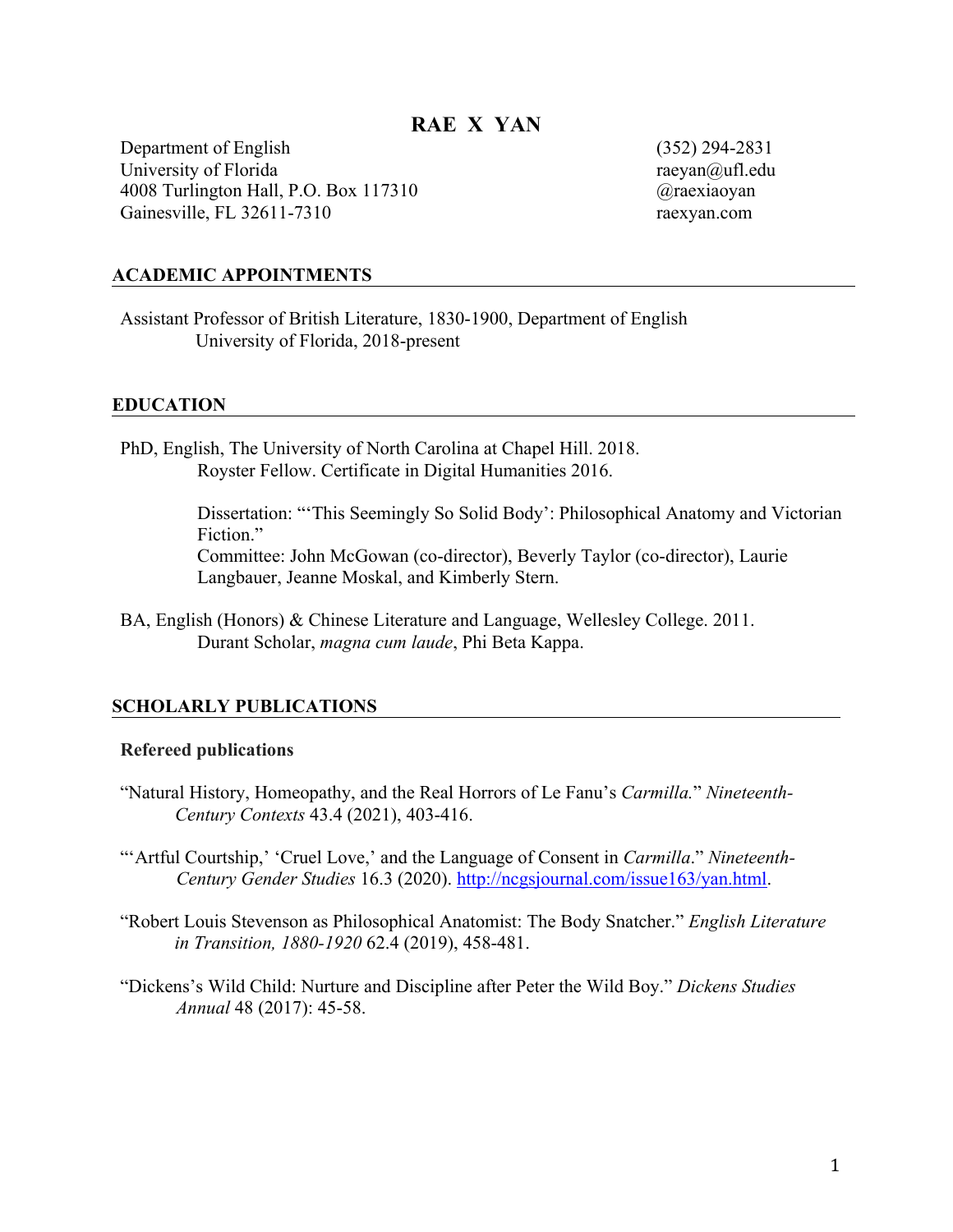# **RAE X YAN**

Department of English University of Florida 4008 Turlington Hall, P.O. Box 117310 Gainesville, FL 32611-7310

(352) 294-2831 raeyan@ufl.edu @raexiaoyan raexyan.com

### **ACADEMIC APPOINTMENTS**

Assistant Professor of British Literature, 1830-1900, Department of English University of Florida, 2018-present

#### **EDUCATION**

PhD, English, The University of North Carolina at Chapel Hill. 2018. Royster Fellow. Certificate in Digital Humanities 2016.

> Dissertation: "'This Seemingly So Solid Body': Philosophical Anatomy and Victorian Fiction."

Committee: John McGowan (co-director), Beverly Taylor (co-director), Laurie Langbauer, Jeanne Moskal, and Kimberly Stern.

BA, English (Honors) & Chinese Literature and Language, Wellesley College. 2011. Durant Scholar, *magna cum laude*, Phi Beta Kappa.

### **SCHOLARLY PUBLICATIONS**

### **Refereed publications**

"Natural History, Homeopathy, and the Real Horrors of Le Fanu's *Carmilla.*" *Nineteenth-Century Contexts* 43.4 (2021), 403-416.

"'Artful Courtship,' 'Cruel Love,' and the Language of Consent in *Carmilla*." *Nineteenth-Century Gender Studies* 16.3 (2020). http://ncgsjournal.com/issue163/yan.html.

- "Robert Louis Stevenson as Philosophical Anatomist: The Body Snatcher." *English Literature in Transition, 1880-1920* 62.4 (2019), 458-481.
- "Dickens's Wild Child: Nurture and Discipline after Peter the Wild Boy." *Dickens Studies Annual* 48 (2017): 45-58.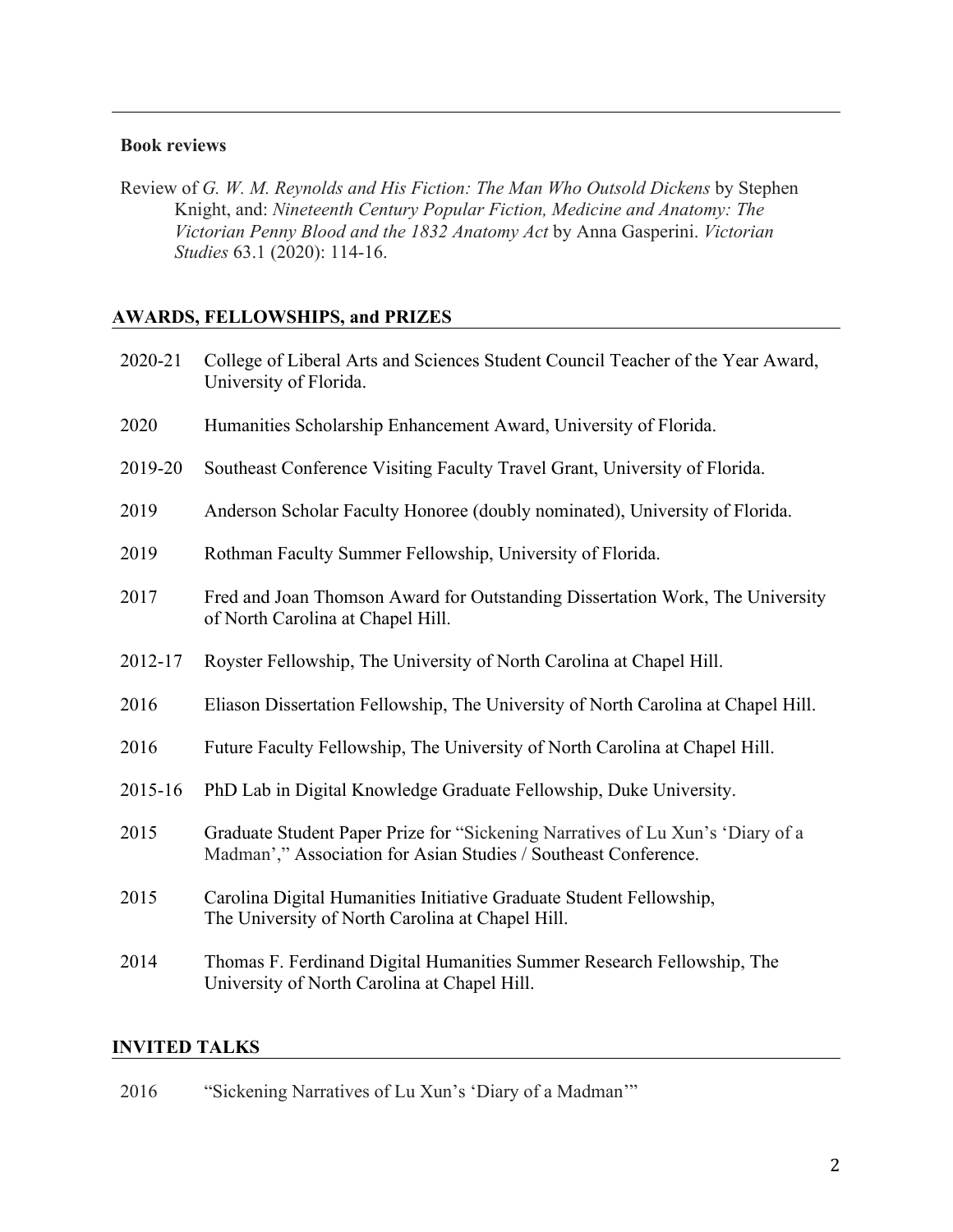## **Book reviews**

Review of *G. W. M. Reynolds and His Fiction: The Man Who Outsold Dickens* by Stephen Knight, and: *Nineteenth Century Popular Fiction, Medicine and Anatomy: The Victorian Penny Blood and the 1832 Anatomy Act* by Anna Gasperini. *Victorian Studies* 63.1 (2020): 114-16.

# **AWARDS, FELLOWSHIPS, and PRIZES**

| 2020-21 | College of Liberal Arts and Sciences Student Council Teacher of the Year Award,<br>University of Florida.                                         |
|---------|---------------------------------------------------------------------------------------------------------------------------------------------------|
| 2020    | Humanities Scholarship Enhancement Award, University of Florida.                                                                                  |
| 2019-20 | Southeast Conference Visiting Faculty Travel Grant, University of Florida.                                                                        |
| 2019    | Anderson Scholar Faculty Honoree (doubly nominated), University of Florida.                                                                       |
| 2019    | Rothman Faculty Summer Fellowship, University of Florida.                                                                                         |
| 2017    | Fred and Joan Thomson Award for Outstanding Dissertation Work, The University<br>of North Carolina at Chapel Hill.                                |
| 2012-17 | Royster Fellowship, The University of North Carolina at Chapel Hill.                                                                              |
| 2016    | Eliason Dissertation Fellowship, The University of North Carolina at Chapel Hill.                                                                 |
| 2016    | Future Faculty Fellowship, The University of North Carolina at Chapel Hill.                                                                       |
| 2015-16 | PhD Lab in Digital Knowledge Graduate Fellowship, Duke University.                                                                                |
| 2015    | Graduate Student Paper Prize for "Sickening Narratives of Lu Xun's 'Diary of a<br>Madman'," Association for Asian Studies / Southeast Conference. |
| 2015    | Carolina Digital Humanities Initiative Graduate Student Fellowship,<br>The University of North Carolina at Chapel Hill.                           |
| 2014    | Thomas F. Ferdinand Digital Humanities Summer Research Fellowship, The<br>University of North Carolina at Chapel Hill.                            |

# **INVITED TALKS**

2016 "Sickening Narratives of Lu Xun's 'Diary of a Madman'"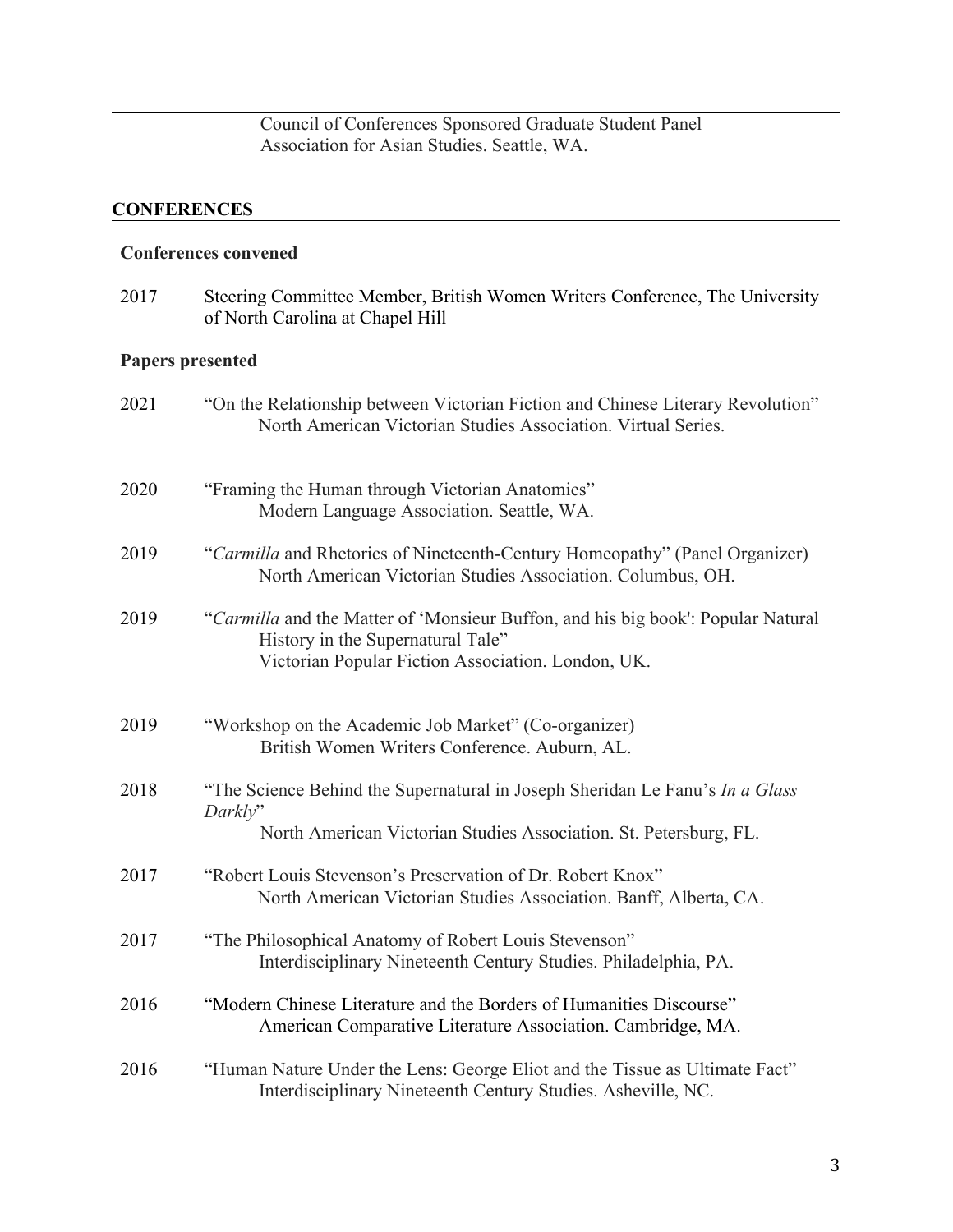Council of Conferences Sponsored Graduate Student Panel Association for Asian Studies. Seattle, WA.

# **CONFERENCES**

# **Conferences convened**

| 2017 | Steering Committee Member, British Women Writers Conference, The University |
|------|-----------------------------------------------------------------------------|
|      | of North Carolina at Chapel Hill                                            |

# **Papers presented**

| 2021 | "On the Relationship between Victorian Fiction and Chinese Literary Revolution"<br>North American Victorian Studies Association. Virtual Series.                            |
|------|-----------------------------------------------------------------------------------------------------------------------------------------------------------------------------|
| 2020 | "Framing the Human through Victorian Anatomies"<br>Modern Language Association. Seattle, WA.                                                                                |
| 2019 | "Carmilla and Rhetorics of Nineteenth-Century Homeopathy" (Panel Organizer)<br>North American Victorian Studies Association. Columbus, OH.                                  |
| 2019 | "Carmilla and the Matter of 'Monsieur Buffon, and his big book': Popular Natural<br>History in the Supernatural Tale"<br>Victorian Popular Fiction Association. London, UK. |
| 2019 | "Workshop on the Academic Job Market" (Co-organizer)<br>British Women Writers Conference. Auburn, AL.                                                                       |
| 2018 | "The Science Behind the Supernatural in Joseph Sheridan Le Fanu's In a Glass<br>Darkly"<br>North American Victorian Studies Association. St. Petersburg, FL.                |
| 2017 | "Robert Louis Stevenson's Preservation of Dr. Robert Knox"<br>North American Victorian Studies Association. Banff, Alberta, CA.                                             |
| 2017 | "The Philosophical Anatomy of Robert Louis Stevenson"<br>Interdisciplinary Nineteenth Century Studies. Philadelphia, PA.                                                    |
| 2016 | "Modern Chinese Literature and the Borders of Humanities Discourse"<br>American Comparative Literature Association. Cambridge, MA.                                          |
| 2016 | "Human Nature Under the Lens: George Eliot and the Tissue as Ultimate Fact"<br>Interdisciplinary Nineteenth Century Studies. Asheville, NC.                                 |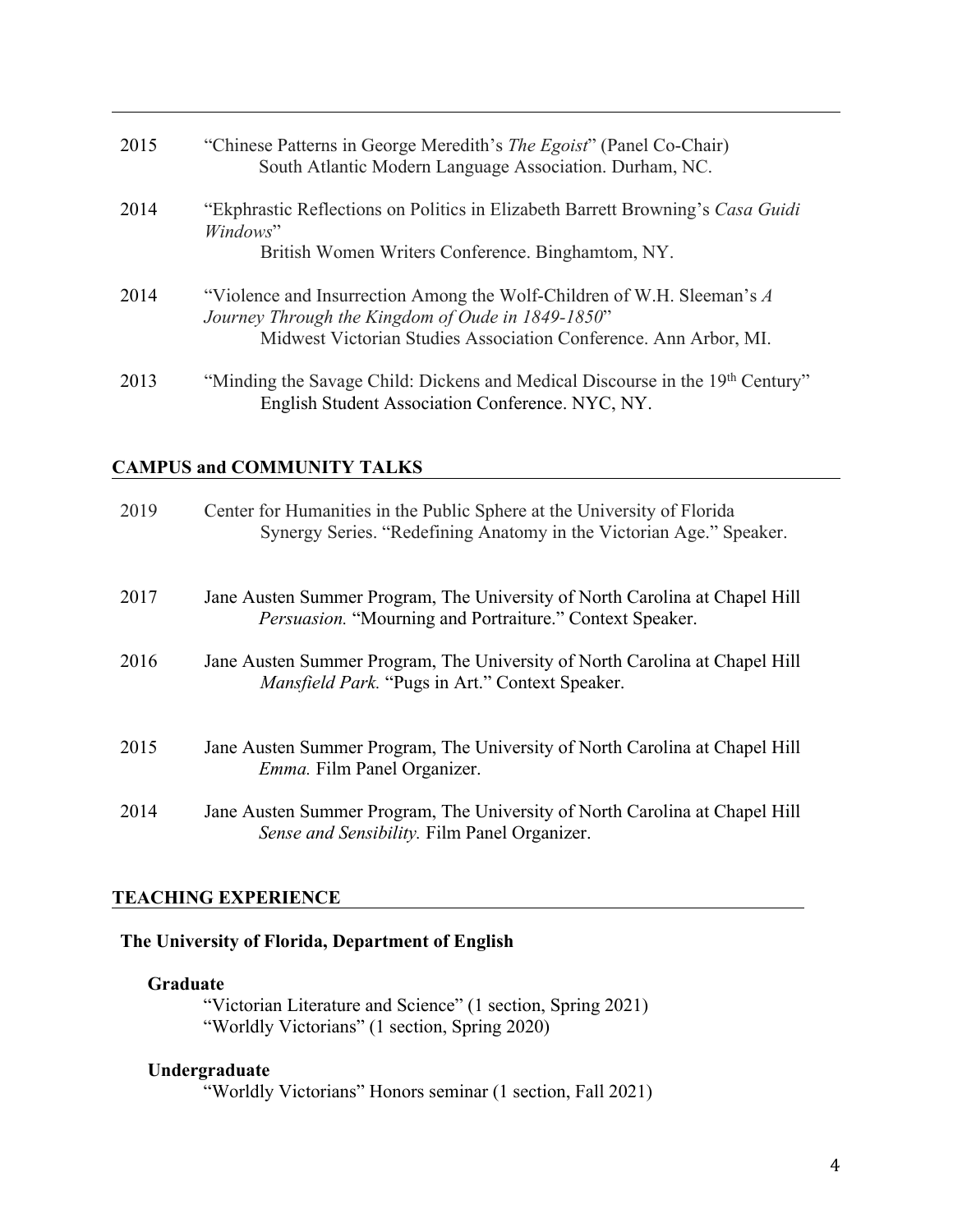| 2015 | "Chinese Patterns in George Meredith's <i>The Egoist</i> " (Panel Co-Chair)<br>South Atlantic Modern Language Association. Durham, NC.                                                          |
|------|-------------------------------------------------------------------------------------------------------------------------------------------------------------------------------------------------|
| 2014 | "Ekphrastic Reflections on Politics in Elizabeth Barrett Browning's Casa Guidi<br>Windows"<br>British Women Writers Conference. Binghamtom, NY.                                                 |
| 2014 | "Violence and Insurrection Among the Wolf-Children of W.H. Sleeman's A<br>Journey Through the Kingdom of Oude in 1849-1850"<br>Midwest Victorian Studies Association Conference. Ann Arbor, MI. |
| 2013 | "Minding the Savage Child: Dickens and Medical Discourse in the 19th Century"<br>English Student Association Conference. NYC, NY.                                                               |

# **CAMPUS and COMMUNITY TALKS**

| 2019 | Center for Humanities in the Public Sphere at the University of Florida<br>Synergy Series. "Redefining Anatomy in the Victorian Age." Speaker. |
|------|------------------------------------------------------------------------------------------------------------------------------------------------|
| 2017 | Jane Austen Summer Program, The University of North Carolina at Chapel Hill<br><i>Persuasion.</i> "Mourning and Portraiture." Context Speaker. |
| 2016 | Jane Austen Summer Program, The University of North Carolina at Chapel Hill<br><i>Mansfield Park.</i> "Pugs in Art." Context Speaker.          |
| 2015 | Jane Austen Summer Program, The University of North Carolina at Chapel Hill<br><i>Emma</i> . Film Panel Organizer.                             |
| 2014 | Jane Austen Summer Program, The University of North Carolina at Chapel Hill<br>Sense and Sensibility. Film Panel Organizer.                    |

# **TEACHING EXPERIENCE**

# **The University of Florida, Department of English**

## **Graduate**

"Victorian Literature and Science" (1 section, Spring 2021) "Worldly Victorians" (1 section, Spring 2020)

# **Undergraduate**

"Worldly Victorians" Honors seminar (1 section, Fall 2021)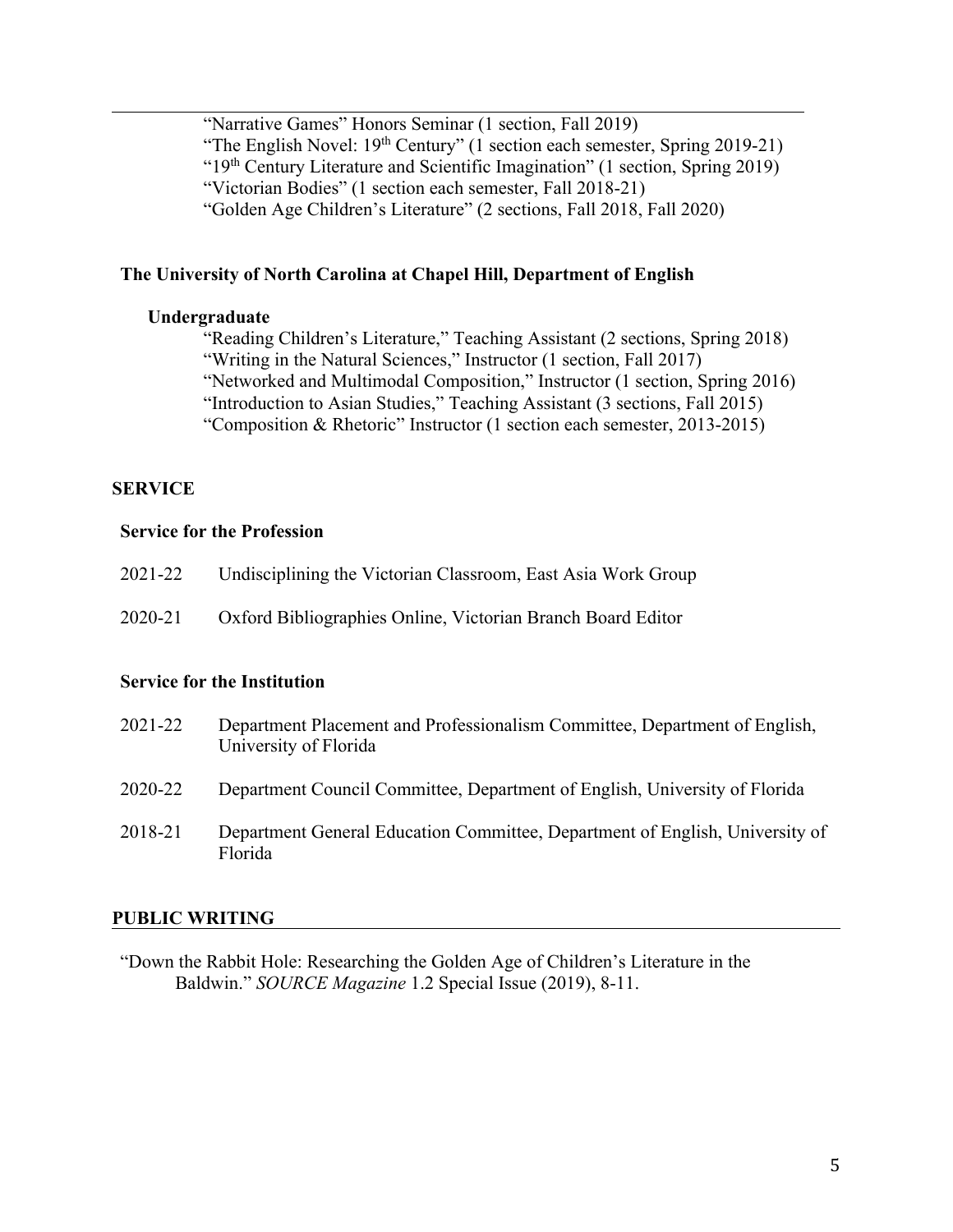"Narrative Games" Honors Seminar (1 section, Fall 2019) "The English Novel: 19<sup>th</sup> Century" (1 section each semester, Spring 2019-21) "19th Century Literature and Scientific Imagination" (1 section, Spring 2019) "Victorian Bodies" (1 section each semester, Fall 2018-21) "Golden Age Children's Literature" (2 sections, Fall 2018, Fall 2020)

# **The University of North Carolina at Chapel Hill, Department of English**

### **Undergraduate**

"Reading Children's Literature," Teaching Assistant (2 sections, Spring 2018) "Writing in the Natural Sciences," Instructor (1 section, Fall 2017) "Networked and Multimodal Composition," Instructor (1 section, Spring 2016) "Introduction to Asian Studies," Teaching Assistant (3 sections, Fall 2015)

"Composition & Rhetoric" Instructor (1 section each semester, 2013-2015)

#### **SERVICE**

## **Service for the Profession**

| 2021-22 | Undisciplining the Victorian Classroom, East Asia Work Group |
|---------|--------------------------------------------------------------|
| 2020-21 | Oxford Bibliographies Online, Victorian Branch Board Editor  |

### **Service for the Institution**

| 2021-22 | Department Placement and Professionalism Committee, Department of English,<br>University of Florida |
|---------|-----------------------------------------------------------------------------------------------------|
| 2020-22 | Department Council Committee, Department of English, University of Florida                          |
| 2018-21 | Department General Education Committee, Department of English, University of<br>Florida             |

#### **PUBLIC WRITING**

"Down the Rabbit Hole: Researching the Golden Age of Children's Literature in the Baldwin." *SOURCE Magazine* 1.2 Special Issue (2019), 8-11.